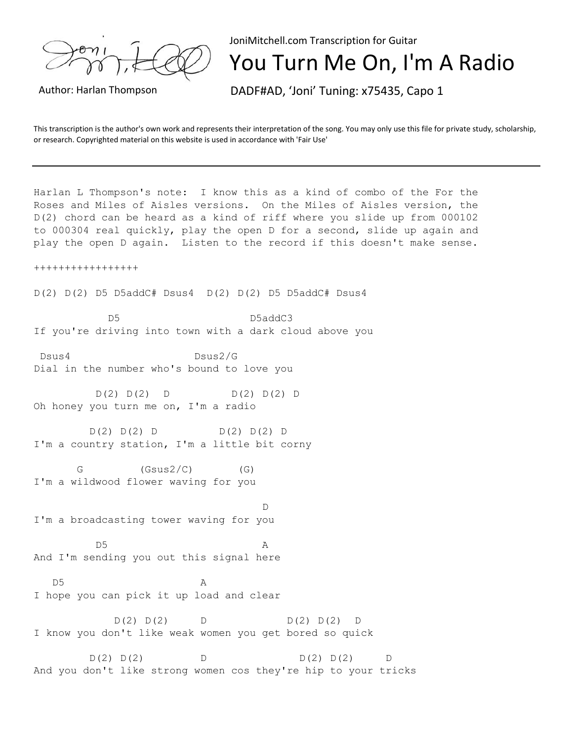

JoniMitchell.com Transcription for Guitar

You Turn Me On, I'm A Radio

Author: Harlan Thompson DADF#AD, 'Joni' Tuning: x75435, Capo 1

This transcription is the author's own work and represents their interpretation of the song. You may only use this file for private study, scholarship, or research. Copyrighted material on this website is used in accordance with 'Fair Use'

Harlan L Thompson's note: I know this as a kind of combo of the For the Roses and Miles of Aisles versions. On the Miles of Aisles version, the D(2) chord can be heard as a kind of riff where you slide up from 000102 to 000304 real quickly, play the open D for a second, slide up again and play the open D again. Listen to the record if this doesn't make sense.

+++++++++++++++++

D(2) D(2) D5 D5addC# Dsus4 D(2) D(2) D5 D5addC# Dsus4

 D5 D5addC3 If you're driving into town with a dark cloud above you

Dsus4 Dsus2/G Dial in the number who's bound to love you

 $D(2) D(2) D$  D(2)  $D(2) D$ Oh honey you turn me on, I'm a radio

 $D(2) D(2) D$   $D(2) D(2) D$ I'm a country station, I'm a little bit corny

 $G$  (Gsus2/C) (G) I'm a wildwood flower waving for you

**D** I'm a broadcasting tower waving for you

D5 A And I'm sending you out this signal here

D<sub>5</sub> A I hope you can pick it up load and clear

 $D(2) D(2) D$  D  $D(2) D(2) D$ I know you don't like weak women you get bored so quick

 $D(2) D(2) D$  D  $D(2) D(2) D$ And you don't like strong women cos they're hip to your tricks